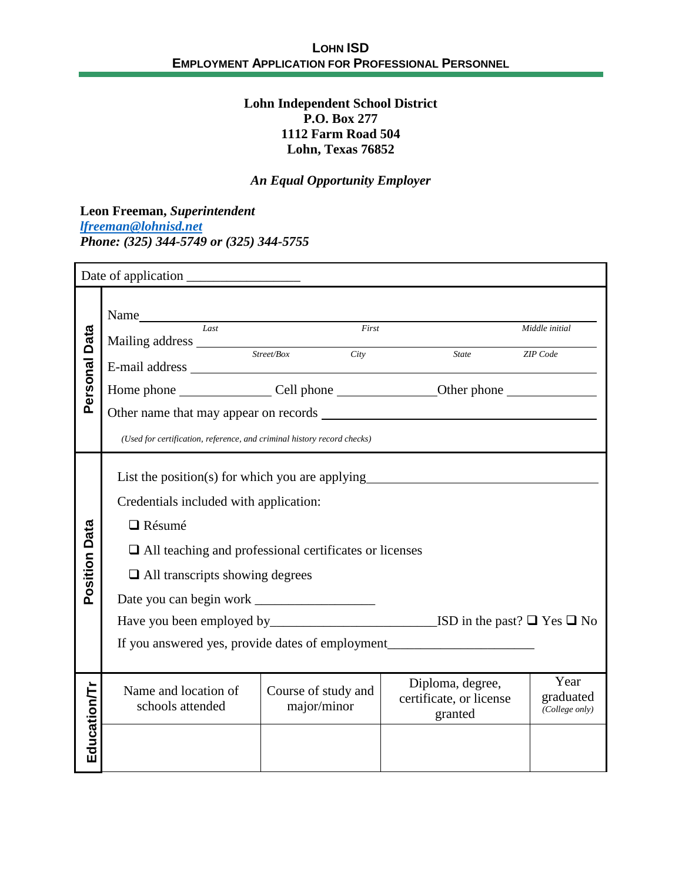## **Lohn Independent School District P.O. Box 277 1112 Farm Road 504 Lohn, Texas 76852**

# *An Equal Opportunity Employer*

**Leon Freeman,** *Superintendent [lfreeman@lohnisd.net](mailto:lfreeman@lohnisd.net) Phone: (325) 344-5749 or (325) 344-5755*

|                      | Name Iast First First <sub>Last</sub> <sub>Last</sub> <sub>Rist</sub> <sub>Last</sub> <sub>Rist</sub> <sub>Rist</sub> <sub>Rist</sub> <sub>Rist</sub> <sub>Rist</sub> <sub>Rist</sub> <sub>Rist</sub> <sub>Rist</sub> <sub>Rist</sub> <sub>Rist</sub> <sub>Rist</sub> <sub>Rist</sub> <sub>Rist</sub> <sub>Rist</sub> |                                    |                                                        |                                     |  |  |
|----------------------|-----------------------------------------------------------------------------------------------------------------------------------------------------------------------------------------------------------------------------------------------------------------------------------------------------------------------|------------------------------------|--------------------------------------------------------|-------------------------------------|--|--|
| Data                 |                                                                                                                                                                                                                                                                                                                       |                                    |                                                        | Middle initial                      |  |  |
|                      | Mailing address Street/Box City                                                                                                                                                                                                                                                                                       |                                    | <b>State</b>                                           | <b>ZIP</b> Code                     |  |  |
| Personal             |                                                                                                                                                                                                                                                                                                                       |                                    |                                                        |                                     |  |  |
|                      |                                                                                                                                                                                                                                                                                                                       |                                    |                                                        |                                     |  |  |
|                      | (Used for certification, reference, and criminal history record checks)                                                                                                                                                                                                                                               |                                    |                                                        |                                     |  |  |
|                      | List the position(s) for which you are applying__________________________________                                                                                                                                                                                                                                     |                                    |                                                        |                                     |  |  |
|                      | Credentials included with application:                                                                                                                                                                                                                                                                                |                                    |                                                        |                                     |  |  |
|                      | $\Box$ Résumé                                                                                                                                                                                                                                                                                                         |                                    |                                                        |                                     |  |  |
| <b>Position Data</b> |                                                                                                                                                                                                                                                                                                                       |                                    |                                                        |                                     |  |  |
|                      | $\Box$ All teaching and professional certificates or licenses                                                                                                                                                                                                                                                         |                                    |                                                        |                                     |  |  |
|                      | $\Box$ All transcripts showing degrees                                                                                                                                                                                                                                                                                |                                    |                                                        |                                     |  |  |
|                      |                                                                                                                                                                                                                                                                                                                       |                                    |                                                        |                                     |  |  |
|                      | Have you been employed by__________________________________ISD in the past? □ Yes □ No                                                                                                                                                                                                                                |                                    |                                                        |                                     |  |  |
|                      | If you answered yes, provide dates of employment________________________________                                                                                                                                                                                                                                      |                                    |                                                        |                                     |  |  |
|                      |                                                                                                                                                                                                                                                                                                                       |                                    |                                                        |                                     |  |  |
|                      | Name and location of<br>schools attended                                                                                                                                                                                                                                                                              | Course of study and<br>major/minor | Diploma, degree,<br>certificate, or license<br>granted | Year<br>graduated<br>(College only) |  |  |
| Education/Tr         |                                                                                                                                                                                                                                                                                                                       |                                    |                                                        |                                     |  |  |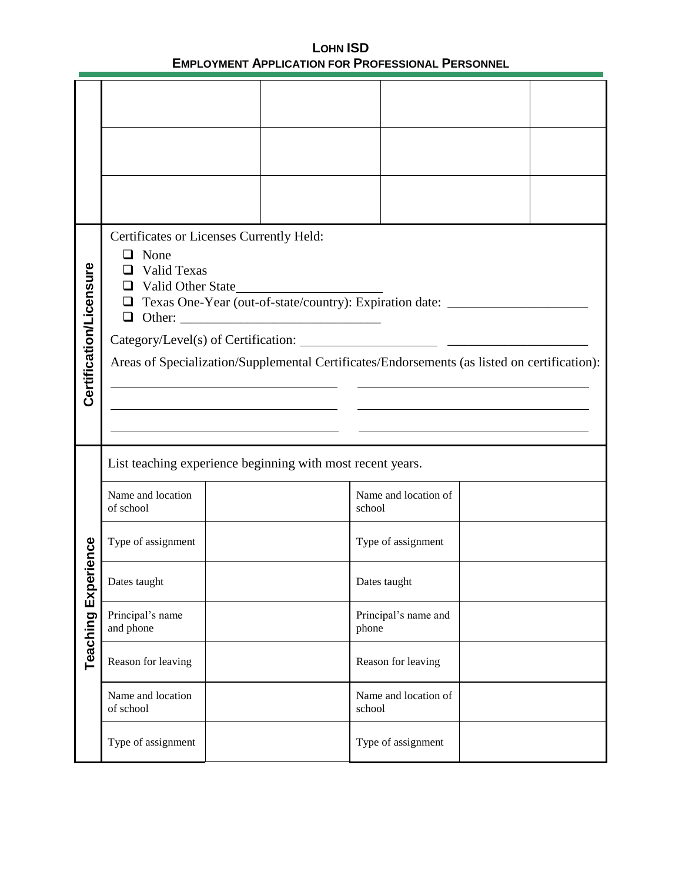| Certification/Licensure | Certificates or Licenses Currently Held:<br>$\Box$ None<br>$\Box$ Valid Texas<br>□ Valid Other State<br>□ Texas One-Year (out-of-state/country): Expiration date: ______________________<br>$\Box$ Other:<br>Areas of Specialization/Supplemental Certificates/Endorsements (as listed on certification): |  |                                |  |  |  |  |
|-------------------------|-----------------------------------------------------------------------------------------------------------------------------------------------------------------------------------------------------------------------------------------------------------------------------------------------------------|--|--------------------------------|--|--|--|--|
|                         | List teaching experience beginning with most recent years.<br>Name and location<br>of school                                                                                                                                                                                                              |  | Name and location of<br>school |  |  |  |  |
| ience                   | Type of assignment                                                                                                                                                                                                                                                                                        |  | Type of assignment             |  |  |  |  |
|                         | Dates taught                                                                                                                                                                                                                                                                                              |  | Dates taught                   |  |  |  |  |
| <b>Teaching Exper</b>   | Principal's name<br>and phone                                                                                                                                                                                                                                                                             |  | Principal's name and<br>phone  |  |  |  |  |
|                         | Reason for leaving                                                                                                                                                                                                                                                                                        |  | Reason for leaving             |  |  |  |  |
|                         | Name and location<br>of school                                                                                                                                                                                                                                                                            |  | Name and location of<br>school |  |  |  |  |
|                         | Type of assignment                                                                                                                                                                                                                                                                                        |  | Type of assignment             |  |  |  |  |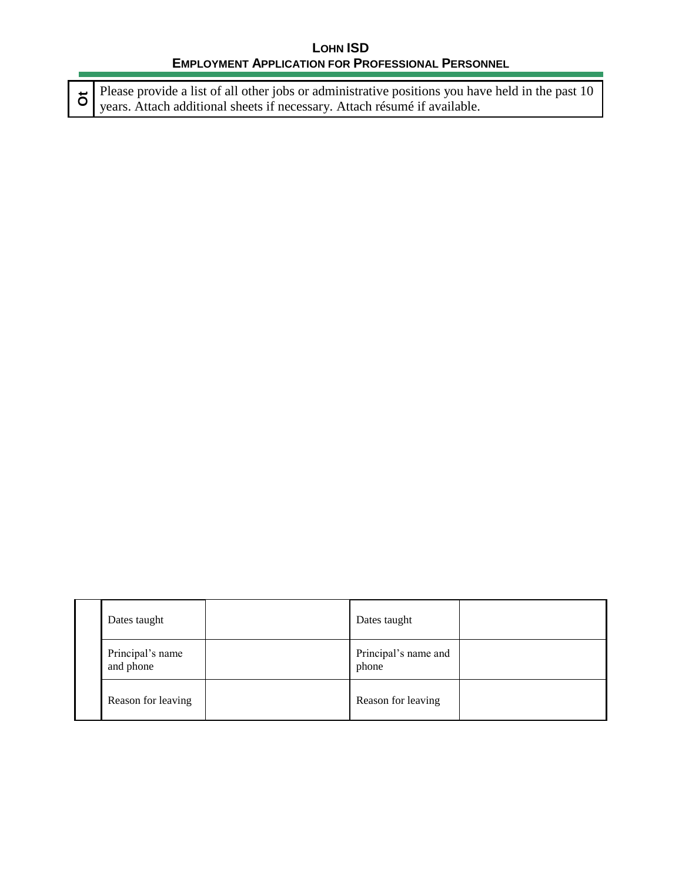**Ot** Please provide a list of all other jobs or administrative positions you have held in the past 10<br>vears. Attach additional sheets if necessary. Attach résumé if available Please provide a list of all other jobs or administrative positions you ha<br>years. Attach additional sheets if necessary. Attach résumé if available.

|  | Dates taught                  |  | Dates taught                  |  |
|--|-------------------------------|--|-------------------------------|--|
|  | Principal's name<br>and phone |  | Principal's name and<br>phone |  |
|  | Reason for leaving            |  | Reason for leaving            |  |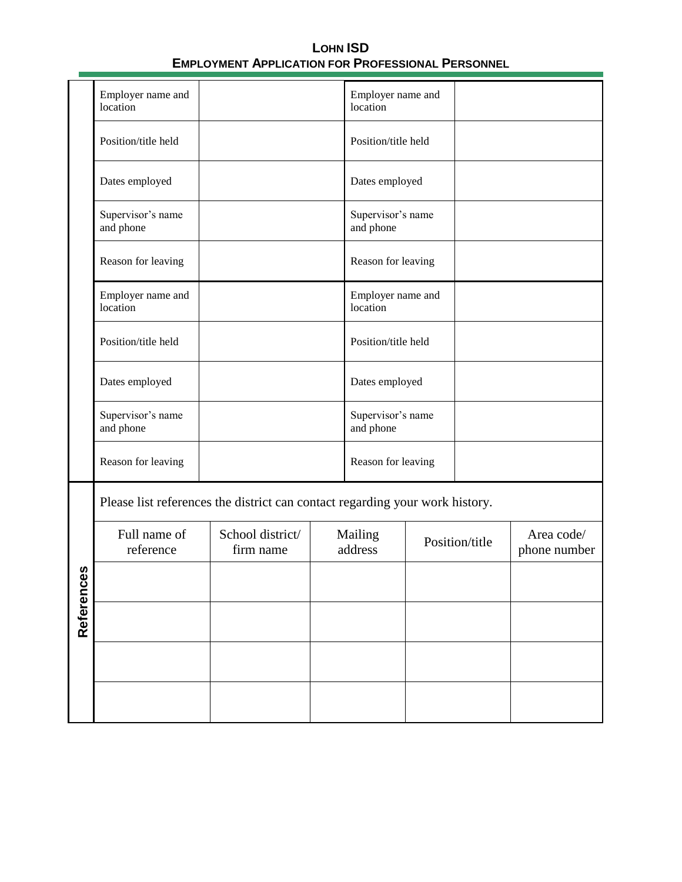|           | Employer name and<br>location                                                |                               |  | Employer name and<br>location  |  |                |                            |
|-----------|------------------------------------------------------------------------------|-------------------------------|--|--------------------------------|--|----------------|----------------------------|
|           | Position/title held                                                          |                               |  | Position/title held            |  |                |                            |
|           | Dates employed                                                               |                               |  | Dates employed                 |  |                |                            |
|           | Supervisor's name<br>and phone                                               |                               |  | Supervisor's name<br>and phone |  |                |                            |
|           | Reason for leaving                                                           |                               |  | Reason for leaving             |  |                |                            |
|           | Employer name and<br>location                                                |                               |  | Employer name and<br>location  |  |                |                            |
|           | Position/title held                                                          |                               |  | Position/title held            |  |                |                            |
|           | Dates employed                                                               |                               |  | Dates employed                 |  |                |                            |
|           | Supervisor's name<br>and phone                                               |                               |  | Supervisor's name<br>and phone |  |                |                            |
|           | Reason for leaving                                                           |                               |  | Reason for leaving             |  |                |                            |
|           | Please list references the district can contact regarding your work history. |                               |  |                                |  |                |                            |
|           | Full name of<br>reference                                                    | School district/<br>firm name |  | Mailing<br>address             |  | Position/title | Area code/<br>phone number |
| n         |                                                                              |                               |  |                                |  |                |                            |
| Reference |                                                                              |                               |  |                                |  |                |                            |
|           |                                                                              |                               |  |                                |  |                |                            |
|           |                                                                              |                               |  |                                |  |                |                            |